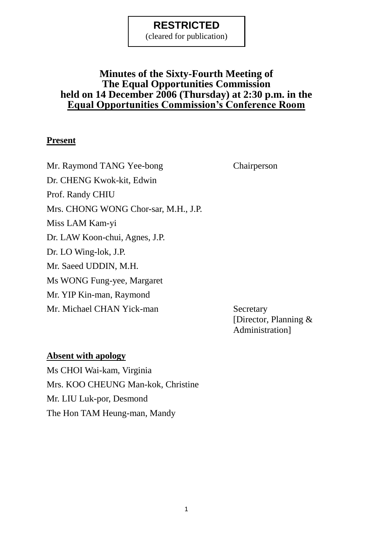(cleared for publication)

## **Minutes of the Sixty-Fourth Meeting of The Equal Opportunities Commission held on 14 December 2006 (Thursday) at 2:30 p.m. in the Equal Opportunities Commission's Conference Room**

#### **Present**

Mr. Raymond TANG Yee-bong Chairperson Dr. CHENG Kwok-kit, Edwin Prof. Randy CHIU Mrs. CHONG WONG Chor-sar, M.H., J.P. Miss LAM Kam-yi Dr. LAW Koon-chui, Agnes, J.P. Dr. LO Wing-lok, J.P. Mr. Saeed UDDIN, M.H. Ms WONG Fung-yee, Margaret Mr. YIP Kin-man, Raymond Mr. Michael CHAN Yick-man Secretary

[Director, Planning & Administration]

#### **Absent with apology**

Ms CHOI Wai-kam, Virginia Mrs. KOO CHEUNG Man-kok, Christine Mr. LIU Luk-por, Desmond The Hon TAM Heung-man, Mandy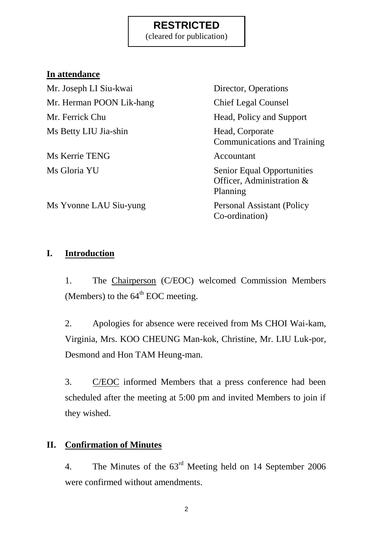(cleared for publication)

### **In attendance**

Mr. Joseph LI Siu-kwai Director, Operations Mr. Herman POON Lik-hang Chief Legal Counsel Mr. Ferrick Chu Head, Policy and Support Ms Betty LIU Jia-shin Head, Corporate

Ms Kerrie TENG Accountant

Communications and Training Ms Gloria YU Senior Equal Opportunities Officer, Administration & Planning Co-ordination)

Ms Yvonne LAU Siu-yung Personal Assistant (Policy

## **I. Introduction**

1. The Chairperson (C/EOC) welcomed Commission Members (Members) to the  $64<sup>th</sup>$  EOC meeting.

2. Apologies for absence were received from Ms CHOI Wai-kam, Virginia, Mrs. KOO CHEUNG Man-kok, Christine, Mr. LIU Luk-por, Desmond and Hon TAM Heung-man.

3. C/EOC informed Members that a press conference had been scheduled after the meeting at 5:00 pm and invited Members to join if they wished.

## **II. Confirmation of Minutes**

4. The Minutes of the 63rd Meeting held on 14 September 2006 were confirmed without amendments.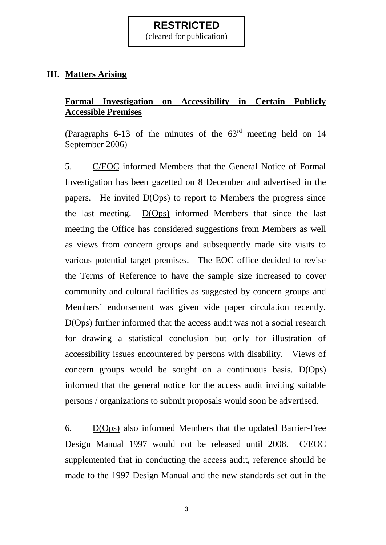(cleared for publication)

### **III. Matters Arising**

### **Formal Investigation on Accessibility in Certain Publicly Accessible Premises**

(Paragraphs 6-13 of the minutes of the  $63<sup>rd</sup>$  meeting held on 14 September 2006)

5. C/EOC informed Members that the General Notice of Formal Investigation has been gazetted on 8 December and advertised in the papers. He invited D(Ops) to report to Members the progress since the last meeting. D(Ops) informed Members that since the last meeting the Office has considered suggestions from Members as well as views from concern groups and subsequently made site visits to various potential target premises. The EOC office decided to revise the Terms of Reference to have the sample size increased to cover community and cultural facilities as suggested by concern groups and Members' endorsement was given vide paper circulation recently. D(Ops) further informed that the access audit was not a social research for drawing a statistical conclusion but only for illustration of accessibility issues encountered by persons with disability. Views of concern groups would be sought on a continuous basis. D(Ops) informed that the general notice for the access audit inviting suitable persons / organizations to submit proposals would soon be advertised.

6. D(Ops) also informed Members that the updated Barrier-Free Design Manual 1997 would not be released until 2008. C/EOC supplemented that in conducting the access audit, reference should be made to the 1997 Design Manual and the new standards set out in the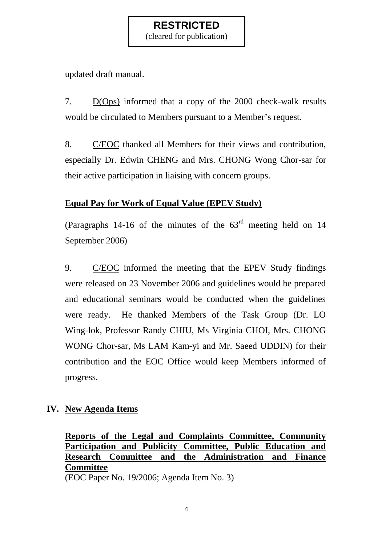(cleared for publication)

updated draft manual.

7. D(Ops) informed that a copy of the 2000 check-walk results would be circulated to Members pursuant to a Member's request.

8. C/EOC thanked all Members for their views and contribution, especially Dr. Edwin CHENG and Mrs. CHONG Wong Chor-sar for their active participation in liaising with concern groups.

### **Equal Pay for Work of Equal Value (EPEV Study)**

(Paragraphs 14-16 of the minutes of the  $63<sup>rd</sup>$  meeting held on 14 September 2006)

9. C/EOC informed the meeting that the EPEV Study findings were released on 23 November 2006 and guidelines would be prepared and educational seminars would be conducted when the guidelines were ready. He thanked Members of the Task Group (Dr. LO Wing-lok, Professor Randy CHIU, Ms Virginia CHOI, Mrs. CHONG WONG Chor-sar, Ms LAM Kam-yi and Mr. Saeed UDDIN) for their contribution and the EOC Office would keep Members informed of progress.

### **IV. New Agenda Items**

#### **Reports of the Legal and Complaints Committee, Community Participation and Publicity Committee, Public Education and Research Committee and the Administration and Finance Committee** (EOC Paper No. 19/2006; Agenda Item No. 3)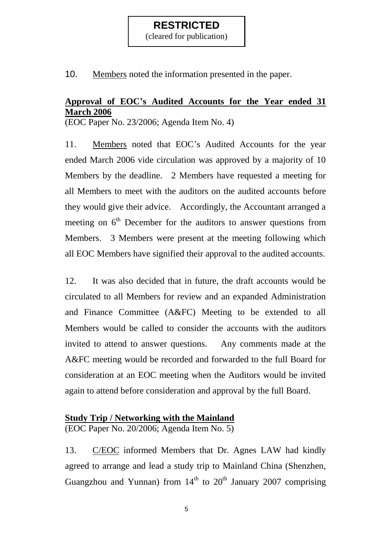(cleared for publication)

10. Members noted the information presented in the paper.

### **Approval of EOC's Audited Accounts for the Year ended 31 March 2006**

(EOC Paper No. 23/2006; Agenda Item No. 4)

11. Members noted that EOC"s Audited Accounts for the year ended March 2006 vide circulation was approved by a majority of 10 Members by the deadline. 2 Members have requested a meeting for all Members to meet with the auditors on the audited accounts before they would give their advice. Accordingly, the Accountant arranged a meeting on  $6<sup>th</sup>$  December for the auditors to answer questions from Members. 3 Members were present at the meeting following which all EOC Members have signified their approval to the audited accounts.

12. It was also decided that in future, the draft accounts would be circulated to all Members for review and an expanded Administration and Finance Committee (A&FC) Meeting to be extended to all Members would be called to consider the accounts with the auditors invited to attend to answer questions. Any comments made at the A&FC meeting would be recorded and forwarded to the full Board for consideration at an EOC meeting when the Auditors would be invited again to attend before consideration and approval by the full Board.

#### **Study Trip / Networking with the Mainland** (EOC Paper No. 20/2006; Agenda Item No. 5)

13. C/EOC informed Members that Dr. Agnes LAW had kindly agreed to arrange and lead a study trip to Mainland China (Shenzhen, Guangzhou and Yunnan) from  $14<sup>th</sup>$  to  $20<sup>th</sup>$  January 2007 comprising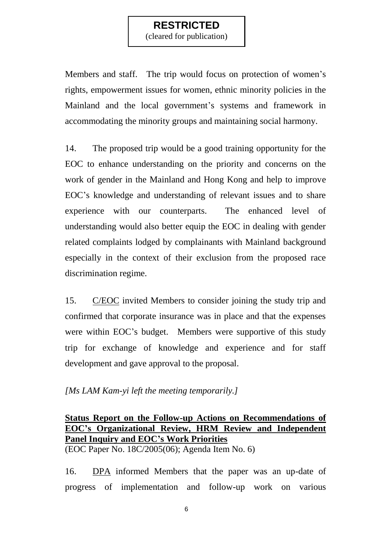(cleared for publication)

Members and staff. The trip would focus on protection of women's rights, empowerment issues for women, ethnic minority policies in the Mainland and the local government's systems and framework in accommodating the minority groups and maintaining social harmony.

14. The proposed trip would be a good training opportunity for the EOC to enhance understanding on the priority and concerns on the work of gender in the Mainland and Hong Kong and help to improve EOC"s knowledge and understanding of relevant issues and to share experience with our counterparts. The enhanced level of understanding would also better equip the EOC in dealing with gender related complaints lodged by complainants with Mainland background especially in the context of their exclusion from the proposed race discrimination regime.

15. C/EOC invited Members to consider joining the study trip and confirmed that corporate insurance was in place and that the expenses were within EOC"s budget. Members were supportive of this study trip for exchange of knowledge and experience and for staff development and gave approval to the proposal.

#### *[Ms LAM Kam-yi left the meeting temporarily.]*

#### **Status Report on the Follow-up Actions on Recommendations of EOC's Organizational Review, HRM Review and Independent Panel Inquiry and EOC's Work Priorities** (EOC Paper No. 18C/2005(06); Agenda Item No. 6)

16. DPA informed Members that the paper was an up-date of progress of implementation and follow-up work on various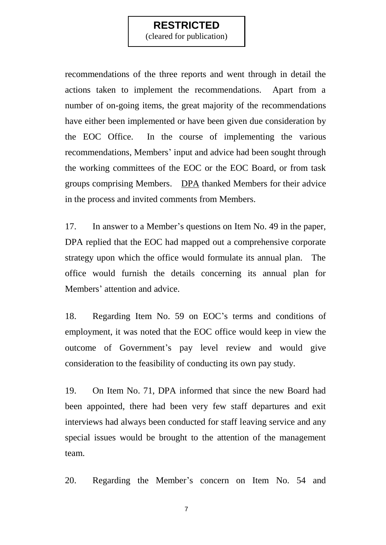(cleared for publication)

recommendations of the three reports and went through in detail the actions taken to implement the recommendations. Apart from a number of on-going items, the great majority of the recommendations have either been implemented or have been given due consideration by the EOC Office. In the course of implementing the various recommendations, Members' input and advice had been sought through the working committees of the EOC or the EOC Board, or from task groups comprising Members. DPA thanked Members for their advice in the process and invited comments from Members.

17. In answer to a Member"s questions on Item No. 49 in the paper, DPA replied that the EOC had mapped out a comprehensive corporate strategy upon which the office would formulate its annual plan. The office would furnish the details concerning its annual plan for Members' attention and advice.

18. Regarding Item No. 59 on EOC"s terms and conditions of employment, it was noted that the EOC office would keep in view the outcome of Government"s pay level review and would give consideration to the feasibility of conducting its own pay study.

19. On Item No. 71, DPA informed that since the new Board had been appointed, there had been very few staff departures and exit interviews had always been conducted for staff leaving service and any special issues would be brought to the attention of the management team.

20. Regarding the Member"s concern on Item No. 54 and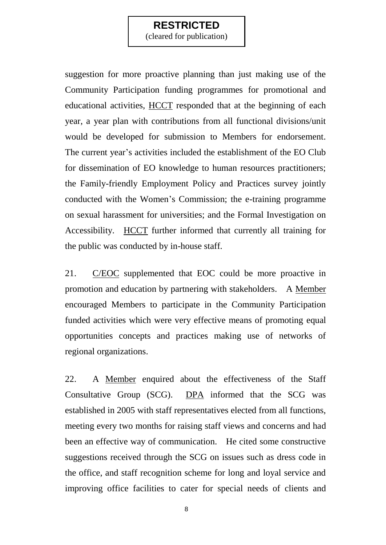(cleared for publication)

suggestion for more proactive planning than just making use of the Community Participation funding programmes for promotional and educational activities, HCCT responded that at the beginning of each year, a year plan with contributions from all functional divisions/unit would be developed for submission to Members for endorsement. The current year's activities included the establishment of the EO Club for dissemination of EO knowledge to human resources practitioners; the Family-friendly Employment Policy and Practices survey jointly conducted with the Women"s Commission; the e-training programme on sexual harassment for universities; and the Formal Investigation on Accessibility. HCCT further informed that currently all training for the public was conducted by in-house staff.

21. C/EOC supplemented that EOC could be more proactive in promotion and education by partnering with stakeholders. A Member encouraged Members to participate in the Community Participation funded activities which were very effective means of promoting equal opportunities concepts and practices making use of networks of regional organizations.

22. A Member enquired about the effectiveness of the Staff Consultative Group (SCG). DPA informed that the SCG was established in 2005 with staff representatives elected from all functions, meeting every two months for raising staff views and concerns and had been an effective way of communication. He cited some constructive suggestions received through the SCG on issues such as dress code in the office, and staff recognition scheme for long and loyal service and improving office facilities to cater for special needs of clients and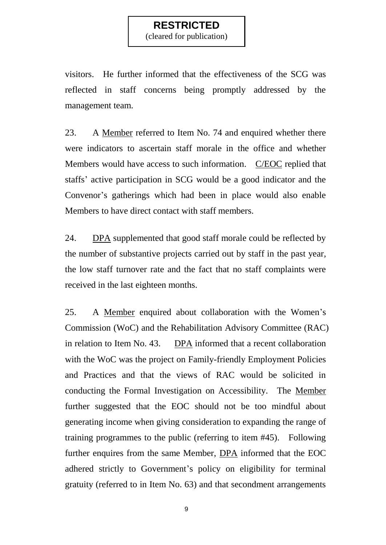(cleared for publication)

visitors. He further informed that the effectiveness of the SCG was reflected in staff concerns being promptly addressed by the management team.

23. A Member referred to Item No. 74 and enquired whether there were indicators to ascertain staff morale in the office and whether Members would have access to such information. C/EOC replied that staffs' active participation in SCG would be a good indicator and the Convenor"s gatherings which had been in place would also enable Members to have direct contact with staff members.

24. DPA supplemented that good staff morale could be reflected by the number of substantive projects carried out by staff in the past year, the low staff turnover rate and the fact that no staff complaints were received in the last eighteen months.

25. A Member enquired about collaboration with the Women"s Commission (WoC) and the Rehabilitation Advisory Committee (RAC) in relation to Item No. 43. DPA informed that a recent collaboration with the WoC was the project on Family-friendly Employment Policies and Practices and that the views of RAC would be solicited in conducting the Formal Investigation on Accessibility. The Member further suggested that the EOC should not be too mindful about generating income when giving consideration to expanding the range of training programmes to the public (referring to item #45). Following further enquires from the same Member, DPA informed that the EOC adhered strictly to Government's policy on eligibility for terminal gratuity (referred to in Item No. 63) and that secondment arrangements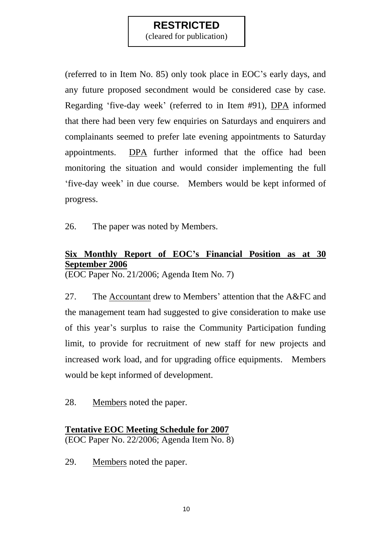(cleared for publication)

(referred to in Item No. 85) only took place in EOC"s early days, and any future proposed secondment would be considered case by case. Regarding "five-day week" (referred to in Item #91), DPA informed that there had been very few enquiries on Saturdays and enquirers and complainants seemed to prefer late evening appointments to Saturday appointments. DPA further informed that the office had been monitoring the situation and would consider implementing the full "five-day week" in due course. Members would be kept informed of progress.

26. The paper was noted by Members.

## **Six Monthly Report of EOC's Financial Position as at 30 September 2006**

(EOC Paper No. 21/2006; Agenda Item No. 7)

27. The Accountant drew to Members' attention that the A&FC and the management team had suggested to give consideration to make use of this year"s surplus to raise the Community Participation funding limit, to provide for recruitment of new staff for new projects and increased work load, and for upgrading office equipments. Members would be kept informed of development.

28. Members noted the paper.

### **Tentative EOC Meeting Schedule for 2007** (EOC Paper No. 22/2006; Agenda Item No. 8)

29. Members noted the paper.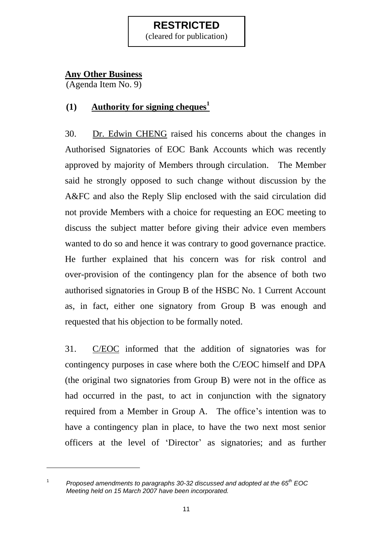(cleared for publication)

### **Any Other Business**

(Agenda Item No. 9)

## **(1) Authority for signing cheques<sup>1</sup>**

30. Dr. Edwin CHENG raised his concerns about the changes in Authorised Signatories of EOC Bank Accounts which was recently approved by majority of Members through circulation. The Member said he strongly opposed to such change without discussion by the A&FC and also the Reply Slip enclosed with the said circulation did not provide Members with a choice for requesting an EOC meeting to discuss the subject matter before giving their advice even members wanted to do so and hence it was contrary to good governance practice. He further explained that his concern was for risk control and over-provision of the contingency plan for the absence of both two authorised signatories in Group B of the HSBC No. 1 Current Account as, in fact, either one signatory from Group B was enough and requested that his objection to be formally noted.

31. C/EOC informed that the addition of signatories was for contingency purposes in case where both the C/EOC himself and DPA (the original two signatories from Group B) were not in the office as had occurred in the past, to act in conjunction with the signatory required from a Member in Group A. The office's intention was to have a contingency plan in place, to have the two next most senior officers at the level of 'Director' as signatories; and as further

1 *Proposed amendments to paragraphs 30-32 discussed and adopted at the 65th EOC Meeting held on 15 March 2007 have been incorporated.*

-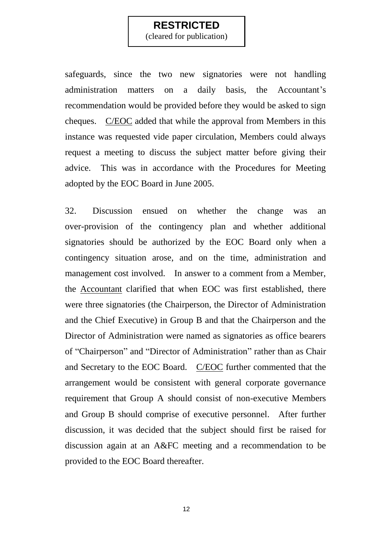(cleared for publication)

safeguards, since the two new signatories were not handling administration matters on a daily basis, the Accountant's recommendation would be provided before they would be asked to sign cheques. C/EOC added that while the approval from Members in this instance was requested vide paper circulation, Members could always request a meeting to discuss the subject matter before giving their advice. This was in accordance with the Procedures for Meeting adopted by the EOC Board in June 2005.

32. Discussion ensued on whether the change was an over-provision of the contingency plan and whether additional signatories should be authorized by the EOC Board only when a contingency situation arose, and on the time, administration and management cost involved. In answer to a comment from a Member, the Accountant clarified that when EOC was first established, there were three signatories (the Chairperson, the Director of Administration and the Chief Executive) in Group B and that the Chairperson and the Director of Administration were named as signatories as office bearers of "Chairperson" and "Director of Administration" rather than as Chair and Secretary to the EOC Board. C/EOC further commented that the arrangement would be consistent with general corporate governance requirement that Group A should consist of non-executive Members and Group B should comprise of executive personnel. After further discussion, it was decided that the subject should first be raised for discussion again at an A&FC meeting and a recommendation to be provided to the EOC Board thereafter.